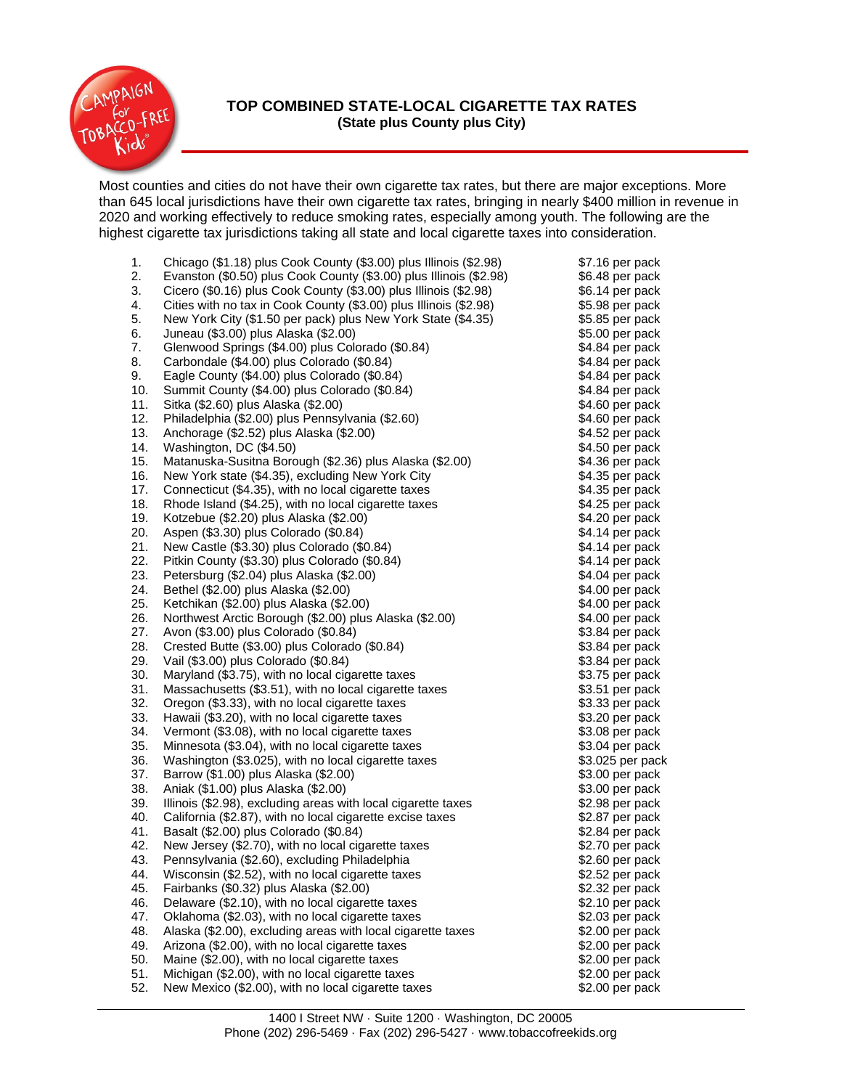

## **TOP COMBINED STATE-LOCAL CIGARETTE TAX RATES (State plus County plus City)**

Most counties and cities do not have their own cigarette tax rates, but there are major exceptions. More than 645 local jurisdictions have their own cigarette tax rates, bringing in nearly \$400 million in revenue in 2020 and working effectively to reduce smoking rates, especially among youth. The following are the highest cigarette tax jurisdictions taking all state and local cigarette taxes into consideration.

| 1.  | Chicago (\$1.18) plus Cook County (\$3.00) plus Illinois (\$2.98)  | \$7.16 per pack                    |
|-----|--------------------------------------------------------------------|------------------------------------|
| 2.  | Evanston (\$0.50) plus Cook County (\$3.00) plus Illinois (\$2.98) | \$6.48 per pack                    |
| 3.  | Cicero (\$0.16) plus Cook County (\$3.00) plus Illinois (\$2.98)   | \$6.14 per pack                    |
| 4.  | Cities with no tax in Cook County (\$3.00) plus Illinois (\$2.98)  | \$5.98 per pack                    |
| 5.  | New York City (\$1.50 per pack) plus New York State (\$4.35)       | \$5.85 per pack                    |
| 6.  | Juneau (\$3.00) plus Alaska (\$2.00)                               | \$5.00 per pack                    |
| 7.  | Glenwood Springs (\$4.00) plus Colorado (\$0.84)                   | \$4.84 per pack                    |
| 8.  | Carbondale (\$4.00) plus Colorado (\$0.84)                         | \$4.84 per pack                    |
| 9.  | Eagle County (\$4.00) plus Colorado (\$0.84)                       | \$4.84 per pack                    |
| 10. | Summit County (\$4.00) plus Colorado (\$0.84)                      | \$4.84 per pack                    |
| 11. | Sitka (\$2.60) plus Alaska (\$2.00)                                | \$4.60 per pack                    |
| 12. | Philadelphia (\$2.00) plus Pennsylvania (\$2.60)                   | \$4.60 per pack                    |
| 13. | Anchorage (\$2.52) plus Alaska (\$2.00)                            | \$4.52 per pack                    |
| 14. | Washington, DC (\$4.50)                                            | \$4.50 per pack                    |
| 15. | Matanuska-Susitna Borough (\$2.36) plus Alaska (\$2.00)            | \$4.36 per pack                    |
| 16. | New York state (\$4.35), excluding New York City                   | \$4.35 per pack                    |
| 17. | Connecticut (\$4.35), with no local cigarette taxes                | \$4.35 per pack                    |
| 18. | Rhode Island (\$4.25), with no local cigarette taxes               | \$4.25 per pack                    |
| 19. | Kotzebue (\$2.20) plus Alaska (\$2.00)                             | \$4.20 per pack                    |
| 20. | Aspen (\$3.30) plus Colorado (\$0.84)                              | \$4.14 per pack                    |
| 21. | New Castle (\$3.30) plus Colorado (\$0.84)                         | \$4.14 per pack                    |
| 22. | Pitkin County (\$3.30) plus Colorado (\$0.84)                      | \$4.14 per pack                    |
| 23. | Petersburg (\$2.04) plus Alaska (\$2.00)                           | \$4.04 per pack                    |
| 24. | Bethel (\$2.00) plus Alaska (\$2.00)                               |                                    |
| 25. |                                                                    | \$4.00 per pack<br>\$4.00 per pack |
| 26. | Ketchikan (\$2.00) plus Alaska (\$2.00)                            | \$4.00 per pack                    |
|     | Northwest Arctic Borough (\$2.00) plus Alaska (\$2.00)             |                                    |
| 27. | Avon (\$3.00) plus Colorado (\$0.84)                               | \$3.84 per pack                    |
| 28. | Crested Butte (\$3.00) plus Colorado (\$0.84)                      | \$3.84 per pack                    |
| 29. | Vail (\$3.00) plus Colorado (\$0.84)                               | \$3.84 per pack                    |
| 30. | Maryland (\$3.75), with no local cigarette taxes                   | \$3.75 per pack                    |
| 31. | Massachusetts (\$3.51), with no local cigarette taxes              | \$3.51 per pack                    |
| 32. | Oregon (\$3.33), with no local cigarette taxes                     | \$3.33 per pack                    |
| 33. | Hawaii (\$3.20), with no local cigarette taxes                     | \$3.20 per pack                    |
| 34. | Vermont (\$3.08), with no local cigarette taxes                    | \$3.08 per pack                    |
| 35. | Minnesota (\$3.04), with no local cigarette taxes                  | \$3.04 per pack                    |
| 36. | Washington (\$3.025), with no local cigarette taxes                | \$3.025 per pack                   |
| 37. | Barrow (\$1.00) plus Alaska (\$2.00)                               | \$3.00 per pack                    |
| 38. | Aniak (\$1.00) plus Alaska (\$2.00)                                | \$3.00 per pack                    |
| 39. | Illinois (\$2.98), excluding areas with local cigarette taxes      | \$2.98 per pack                    |
| 40. | California (\$2.87), with no local cigarette excise taxes          | \$2.87 per pack                    |
| 41. | Basalt (\$2.00) plus Colorado (\$0.84)                             | \$2.84 per pack                    |
| 42. | New Jersey (\$2.70), with no local cigarette taxes                 | \$2.70 per pack                    |
| 43. | Pennsylvania (\$2.60), excluding Philadelphia                      | \$2.60 per pack                    |
| 44. | Wisconsin (\$2.52), with no local cigarette taxes                  | \$2.52 per pack                    |
| 45. | Fairbanks (\$0.32) plus Alaska (\$2.00)                            | \$2.32 per pack                    |
| 46. | Delaware (\$2.10), with no local cigarette taxes                   | \$2.10 per pack                    |
| 47. | Oklahoma (\$2.03), with no local cigarette taxes                   | \$2.03 per pack                    |
| 48. | Alaska (\$2.00), excluding areas with local cigarette taxes        | \$2.00 per pack                    |
| 49. | Arizona (\$2.00), with no local cigarette taxes                    | \$2.00 per pack                    |
| 50. | Maine (\$2.00), with no local cigarette taxes                      | \$2.00 per pack                    |
| 51. | Michigan (\$2.00), with no local cigarette taxes                   | \$2.00 per pack                    |
| 52. | New Mexico (\$2.00), with no local cigarette taxes                 | \$2.00 per pack                    |